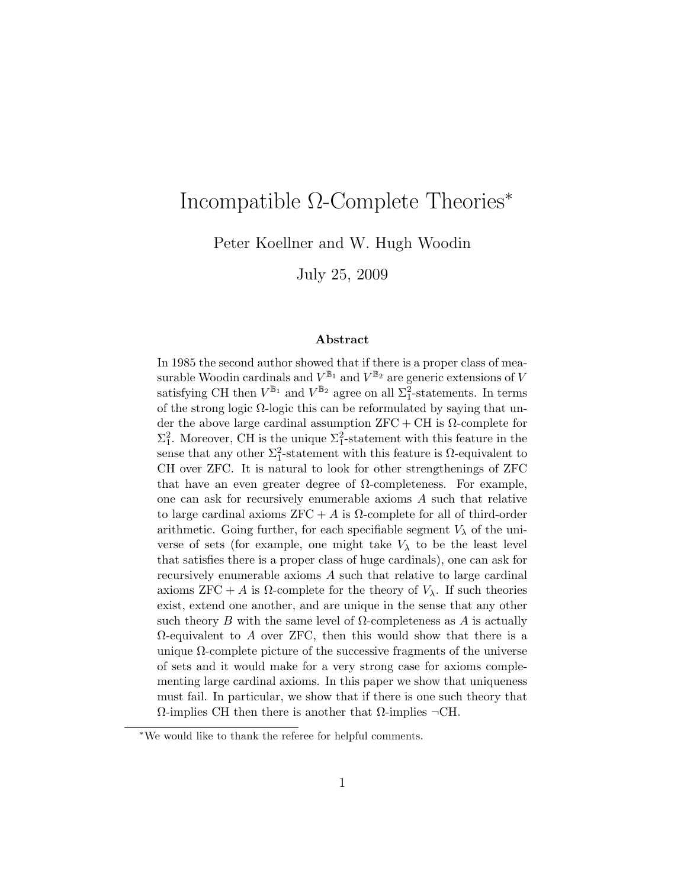# Incompatible Ω-Complete Theories<sup>∗</sup>

Peter Koellner and W. Hugh Woodin

July 25, 2009

#### Abstract

In 1985 the second author showed that if there is a proper class of measurable Woodin cardinals and  $V^{\mathbb{B}_1}$  and  $V^{\mathbb{B}_2}$  are generic extensions of V satisfying CH then  $V^{\mathbb{B}_1}$  and  $V^{\mathbb{B}_2}$  agree on all  $\Sigma_1^2$ -statements. In terms of the strong logic  $\Omega$ -logic this can be reformulated by saying that under the above large cardinal assumption  $ZFC + CH$  is  $\Omega$ -complete for  $\Sigma_1^2$ . Moreover, CH is the unique  $\Sigma_1^2$ -statement with this feature in the sense that any other  $\Sigma_1^2$ -statement with this feature is  $\Omega$ -equivalent to CH over ZFC. It is natural to look for other strengthenings of ZFC that have an even greater degree of  $\Omega$ -completeness. For example, one can ask for recursively enumerable axioms A such that relative to large cardinal axioms  $ZFC + A$  is  $\Omega$ -complete for all of third-order arithmetic. Going further, for each specifiable segment  $V_{\lambda}$  of the universe of sets (for example, one might take  $V_{\lambda}$  to be the least level that satisfies there is a proper class of huge cardinals), one can ask for recursively enumerable axioms A such that relative to large cardinal axioms  $ZFC + A$  is  $\Omega$ -complete for the theory of  $V_{\lambda}$ . If such theories exist, extend one another, and are unique in the sense that any other such theory B with the same level of  $\Omega$ -completeness as A is actually  $\Omega$ -equivalent to A over ZFC, then this would show that there is a unique  $\Omega$ -complete picture of the successive fragments of the universe of sets and it would make for a very strong case for axioms complementing large cardinal axioms. In this paper we show that uniqueness must fail. In particular, we show that if there is one such theory that  $Ω$ -implies CH then there is another that  $Ω$ -implies  $\neg$ CH.

<sup>∗</sup>We would like to thank the referee for helpful comments.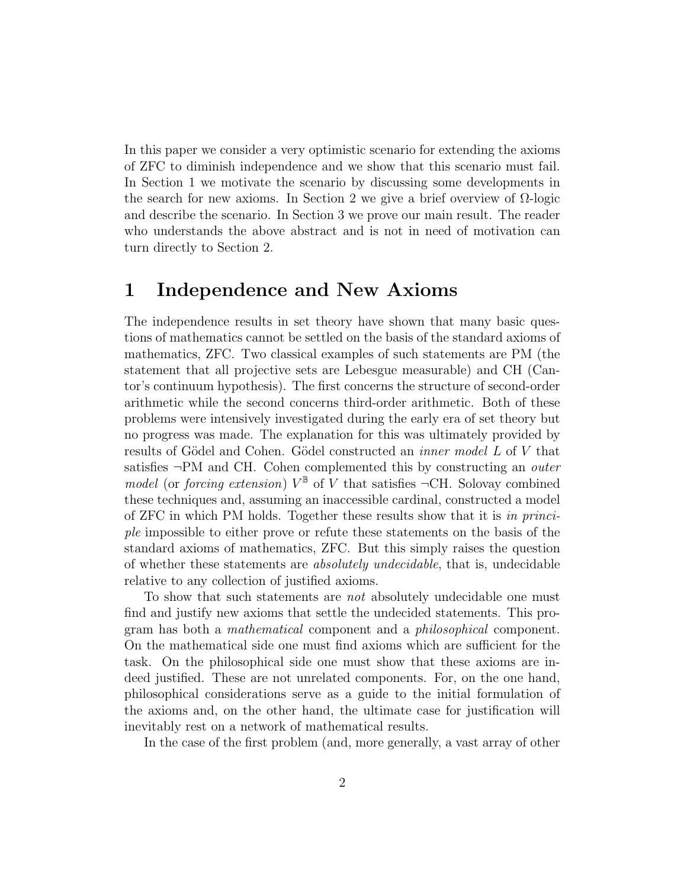In this paper we consider a very optimistic scenario for extending the axioms of ZFC to diminish independence and we show that this scenario must fail. In Section 1 we motivate the scenario by discussing some developments in the search for new axioms. In Section 2 we give a brief overview of  $\Omega$ -logic and describe the scenario. In Section 3 we prove our main result. The reader who understands the above abstract and is not in need of motivation can turn directly to Section 2.

## 1 Independence and New Axioms

The independence results in set theory have shown that many basic questions of mathematics cannot be settled on the basis of the standard axioms of mathematics, ZFC. Two classical examples of such statements are PM (the statement that all projective sets are Lebesgue measurable) and CH (Cantor's continuum hypothesis). The first concerns the structure of second-order arithmetic while the second concerns third-order arithmetic. Both of these problems were intensively investigated during the early era of set theory but no progress was made. The explanation for this was ultimately provided by results of Gödel and Cohen. Gödel constructed an *inner model L* of V that satisfies ¬PM and CH. Cohen complemented this by constructing an outer model (or forcing extension)  $V^{\mathbb{B}}$  of V that satisfies  $\neg$ CH. Solovay combined these techniques and, assuming an inaccessible cardinal, constructed a model of ZFC in which PM holds. Together these results show that it is in principle impossible to either prove or refute these statements on the basis of the standard axioms of mathematics, ZFC. But this simply raises the question of whether these statements are absolutely undecidable, that is, undecidable relative to any collection of justified axioms.

To show that such statements are *not* absolutely undecidable one must find and justify new axioms that settle the undecided statements. This program has both a mathematical component and a philosophical component. On the mathematical side one must find axioms which are sufficient for the task. On the philosophical side one must show that these axioms are indeed justified. These are not unrelated components. For, on the one hand, philosophical considerations serve as a guide to the initial formulation of the axioms and, on the other hand, the ultimate case for justification will inevitably rest on a network of mathematical results.

In the case of the first problem (and, more generally, a vast array of other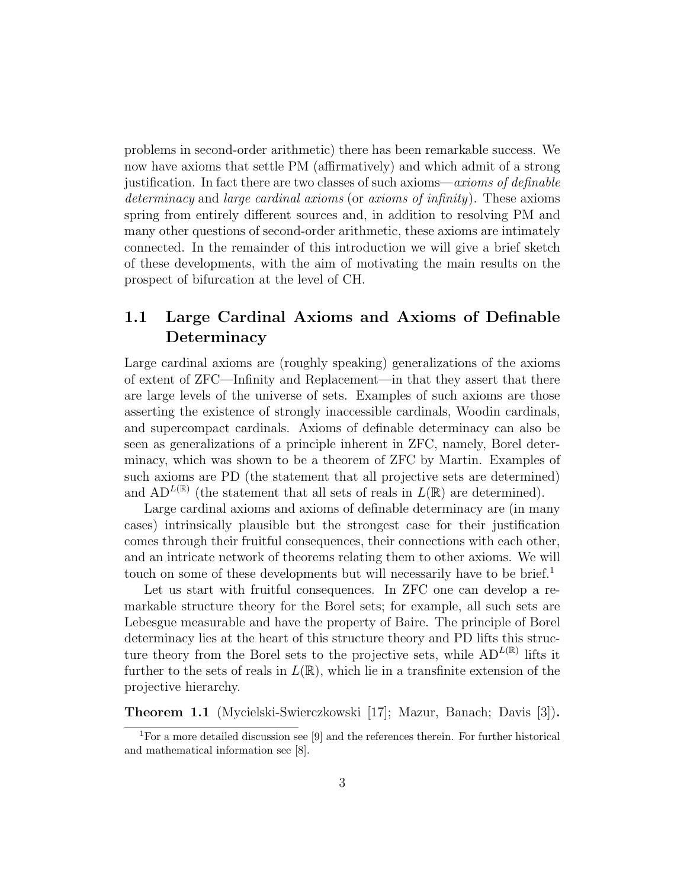problems in second-order arithmetic) there has been remarkable success. We now have axioms that settle PM (affirmatively) and which admit of a strong justification. In fact there are two classes of such axioms—axioms of definable determinacy and large cardinal axioms (or axioms of infinity). These axioms spring from entirely different sources and, in addition to resolving PM and many other questions of second-order arithmetic, these axioms are intimately connected. In the remainder of this introduction we will give a brief sketch of these developments, with the aim of motivating the main results on the prospect of bifurcation at the level of CH.

### 1.1 Large Cardinal Axioms and Axioms of Definable **Determinacy**

Large cardinal axioms are (roughly speaking) generalizations of the axioms of extent of ZFC—Infinity and Replacement—in that they assert that there are large levels of the universe of sets. Examples of such axioms are those asserting the existence of strongly inaccessible cardinals, Woodin cardinals, and supercompact cardinals. Axioms of definable determinacy can also be seen as generalizations of a principle inherent in ZFC, namely, Borel determinacy, which was shown to be a theorem of ZFC by Martin. Examples of such axioms are PD (the statement that all projective sets are determined) and  $AD^{L(\mathbb{R})}$  (the statement that all sets of reals in  $L(\mathbb{R})$  are determined).

Large cardinal axioms and axioms of definable determinacy are (in many cases) intrinsically plausible but the strongest case for their justification comes through their fruitful consequences, their connections with each other, and an intricate network of theorems relating them to other axioms. We will touch on some of these developments but will necessarily have to be brief.<sup>1</sup>

Let us start with fruitful consequences. In ZFC one can develop a remarkable structure theory for the Borel sets; for example, all such sets are Lebesgue measurable and have the property of Baire. The principle of Borel determinacy lies at the heart of this structure theory and PD lifts this structure theory from the Borel sets to the projective sets, while  $AD^{L(\mathbb{R})}$  lifts it further to the sets of reals in  $L(\mathbb{R})$ , which lie in a transfinite extension of the projective hierarchy.

Theorem 1.1 (Mycielski-Swierczkowski [17]; Mazur, Banach; Davis [3]).

<sup>1</sup>For a more detailed discussion see [9] and the references therein. For further historical and mathematical information see [8].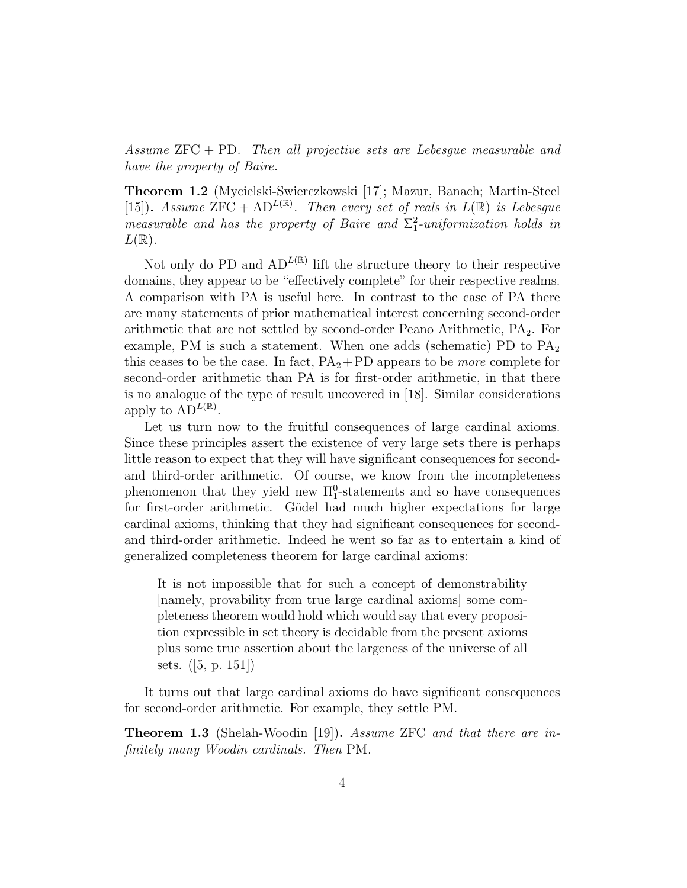Assume  $ZFC + PD$ . Then all projective sets are Lebesgue measurable and have the property of Baire.

Theorem 1.2 (Mycielski-Swierczkowski [17]; Mazur, Banach; Martin-Steel [15]). Assume  $\overline{ZFC} + AD^{L(\mathbb{R})}$ . Then every set of reals in  $L(\mathbb{R})$  is Lebesgue measurable and has the property of Baire and  $\Sigma_1^2$ -uniformization holds in  $L(\mathbb{R})$ .

Not only do PD and  $AD^{L(\mathbb{R})}$  lift the structure theory to their respective domains, they appear to be "effectively complete" for their respective realms. A comparison with PA is useful here. In contrast to the case of PA there are many statements of prior mathematical interest concerning second-order arithmetic that are not settled by second-order Peano Arithmetic,  $PA<sub>2</sub>$ . For example, PM is such a statement. When one adds (schematic) PD to  $PA<sub>2</sub>$ this ceases to be the case. In fact,  $PA_2+PD$  appears to be *more* complete for second-order arithmetic than PA is for first-order arithmetic, in that there is no analogue of the type of result uncovered in [18]. Similar considerations apply to  $AD^{L(\mathbb{R})}$ .

Let us turn now to the fruitful consequences of large cardinal axioms. Since these principles assert the existence of very large sets there is perhaps little reason to expect that they will have significant consequences for secondand third-order arithmetic. Of course, we know from the incompleteness phenomenon that they yield new  $\Pi_1^0$ -statements and so have consequences for first-order arithmetic. Gödel had much higher expectations for large cardinal axioms, thinking that they had significant consequences for secondand third-order arithmetic. Indeed he went so far as to entertain a kind of generalized completeness theorem for large cardinal axioms:

It is not impossible that for such a concept of demonstrability [namely, provability from true large cardinal axioms] some completeness theorem would hold which would say that every proposition expressible in set theory is decidable from the present axioms plus some true assertion about the largeness of the universe of all sets. ([5, p. 151])

It turns out that large cardinal axioms do have significant consequences for second-order arithmetic. For example, they settle PM.

Theorem 1.3 (Shelah-Woodin [19]). Assume ZFC and that there are infinitely many Woodin cardinals. Then PM.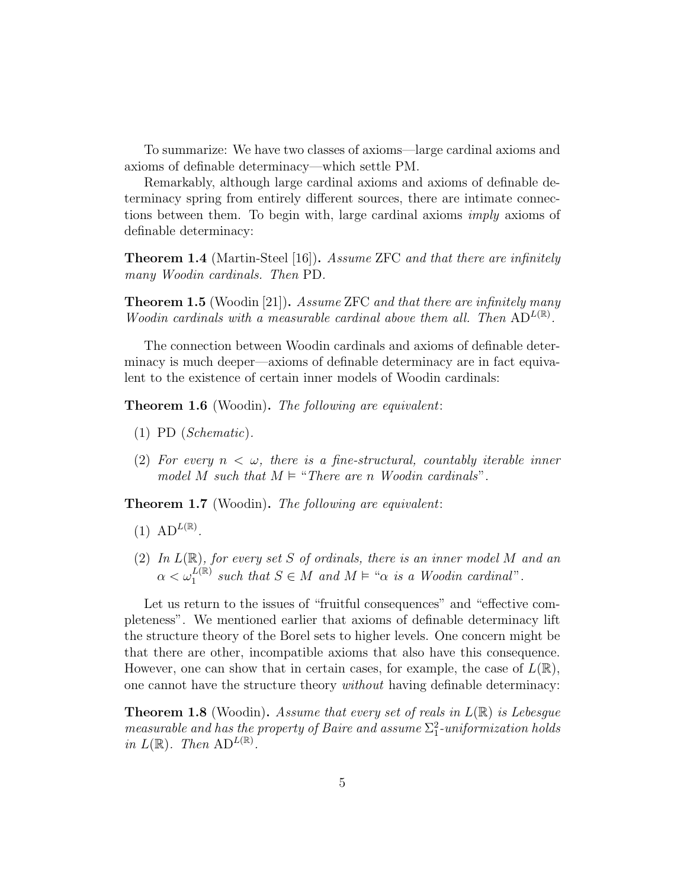To summarize: We have two classes of axioms—large cardinal axioms and axioms of definable determinacy—which settle PM.

Remarkably, although large cardinal axioms and axioms of definable determinacy spring from entirely different sources, there are intimate connections between them. To begin with, large cardinal axioms imply axioms of definable determinacy:

Theorem 1.4 (Martin-Steel [16]). Assume ZFC and that there are infinitely many Woodin cardinals. Then PD.

**Theorem 1.5** (Woodin [21]). Assume ZFC and that there are infinitely many Woodin cardinals with a measurable cardinal above them all. Then  $AD^{L(\mathbb{R})}$ .

The connection between Woodin cardinals and axioms of definable determinacy is much deeper—axioms of definable determinacy are in fact equivalent to the existence of certain inner models of Woodin cardinals:

**Theorem 1.6** (Woodin). The following are equivalent:

- (1) PD (Schematic).
- (2) For every  $n < \omega$ , there is a fine-structural, countably iterable inner model M such that  $M \models "There are n Woodin cardinals".$

**Theorem 1.7** (Woodin). The following are equivalent:

- $(1)$  AD<sup>L(R)</sup>.
- (2) In  $L(\mathbb{R})$ , for every set S of ordinals, there is an inner model M and an  $\alpha < \omega_1^{L(\mathbb{R})}$  such that  $S \in M$  and  $M \models$  " $\alpha$  is a Woodin cardinal".

Let us return to the issues of "fruitful consequences" and "effective completeness". We mentioned earlier that axioms of definable determinacy lift the structure theory of the Borel sets to higher levels. One concern might be that there are other, incompatible axioms that also have this consequence. However, one can show that in certain cases, for example, the case of  $L(\mathbb{R})$ , one cannot have the structure theory *without* having definable determinacy:

**Theorem 1.8** (Woodin). Assume that every set of reals in  $L(\mathbb{R})$  is Lebesque measurable and has the property of Baire and assume  $\Sigma_1^2$ -uniformization holds in  $L(\mathbb{R})$ . Then  $AD^{L(\mathbb{R})}$ .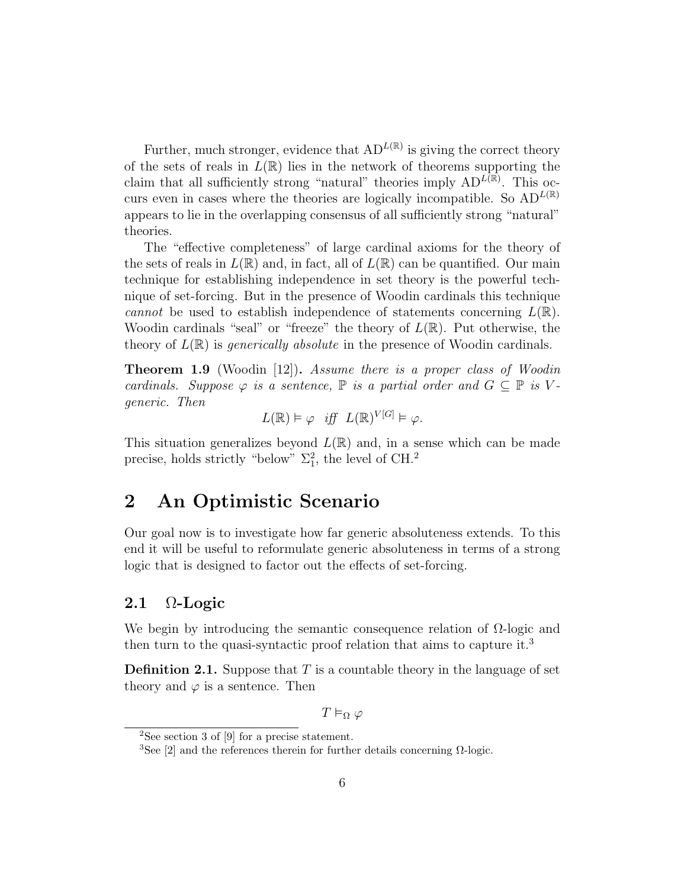Further, much stronger, evidence that  $AD^{L(\mathbb{R})}$  is giving the correct theory of the sets of reals in  $L(\mathbb{R})$  lies in the network of theorems supporting the claim that all sufficiently strong "natural" theories imply  $AD^{L(\mathbb{R})}$ . This occurs even in cases where the theories are logically incompatible. So  $AD^{L(\mathbb{R})}$ appears to lie in the overlapping consensus of all sufficiently strong "natural" theories.

The "effective completeness" of large cardinal axioms for the theory of the sets of reals in  $L(\mathbb{R})$  and, in fact, all of  $L(\mathbb{R})$  can be quantified. Our main technique for establishing independence in set theory is the powerful technique of set-forcing. But in the presence of Woodin cardinals this technique cannot be used to establish independence of statements concerning  $L(\mathbb{R})$ . Woodin cardinals "seal" or "freeze" the theory of  $L(\mathbb{R})$ . Put otherwise, the theory of  $L(\mathbb{R})$  is *generically absolute* in the presence of Woodin cardinals.

Theorem 1.9 (Woodin [12]). Assume there is a proper class of Woodin cardinals. Suppose  $\varphi$  is a sentence,  $\mathbb P$  is a partial order and  $G \subseteq \mathbb P$  is Vgeneric. Then

$$
L(\mathbb{R}) \models \varphi \quad \text{iff} \quad L(\mathbb{R})^{V[G]} \models \varphi.
$$

This situation generalizes beyond  $L(\mathbb{R})$  and, in a sense which can be made precise, holds strictly "below"  $\Sigma_1^2$ , the level of CH.<sup>2</sup>

### 2 An Optimistic Scenario

Our goal now is to investigate how far generic absoluteness extends. To this end it will be useful to reformulate generic absoluteness in terms of a strong logic that is designed to factor out the effects of set-forcing.

### 2.1  $\Omega$ -Logic

We begin by introducing the semantic consequence relation of  $\Omega$ -logic and then turn to the quasi-syntactic proof relation that aims to capture it.<sup>3</sup>

**Definition 2.1.** Suppose that  $T$  is a countable theory in the language of set theory and  $\varphi$  is a sentence. Then

 $T \vDash_{\Omega} \varphi$ 

<sup>2</sup>See section 3 of [9] for a precise statement.

<sup>&</sup>lt;sup>3</sup>See [2] and the references therein for further details concerning  $\Omega$ -logic.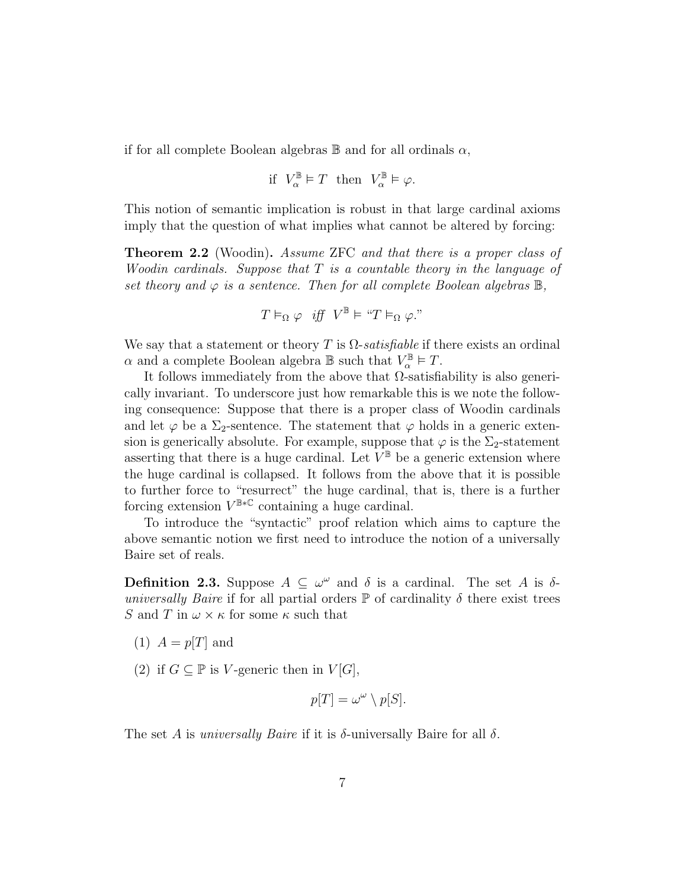if for all complete Boolean algebras  $\mathbb B$  and for all ordinals  $\alpha$ ,

$$
\text{if} \ \ V_{\alpha}^{\mathbb{B}} {\;\models\;} T \ \ \text{then} \ \ V_{\alpha}^{\mathbb{B}} {\;\models\;} \varphi.
$$

This notion of semantic implication is robust in that large cardinal axioms imply that the question of what implies what cannot be altered by forcing:

**Theorem 2.2** (Woodin). Assume ZFC and that there is a proper class of Woodin cardinals. Suppose that T is a countable theory in the language of set theory and  $\varphi$  is a sentence. Then for all complete Boolean algebras  $\mathbb{B}$ ,

$$
T \vDash_{\Omega} \varphi \quad \text{iff} \quad V^{\mathbb{B}} \vDash \text{``}T \vDash_{\Omega} \varphi.
$$
"

We say that a statement or theory T is  $\Omega$ -satisfiable if there exists an ordinal  $\alpha$  and a complete Boolean algebra  $\mathbb B$  such that  $V_\alpha^{\mathbb B} \vDash T$ .

It follows immediately from the above that  $\Omega$ -satisfiability is also generically invariant. To underscore just how remarkable this is we note the following consequence: Suppose that there is a proper class of Woodin cardinals and let  $\varphi$  be a  $\Sigma_2$ -sentence. The statement that  $\varphi$  holds in a generic extension is generically absolute. For example, suppose that  $\varphi$  is the  $\Sigma_2$ -statement asserting that there is a huge cardinal. Let  $V^{\mathbb{B}}$  be a generic extension where the huge cardinal is collapsed. It follows from the above that it is possible to further force to "resurrect" the huge cardinal, that is, there is a further forcing extension  $V^{\mathbb{B} * \mathbb{C}}$  containing a huge cardinal.

To introduce the "syntactic" proof relation which aims to capture the above semantic notion we first need to introduce the notion of a universally Baire set of reals.

**Definition 2.3.** Suppose  $A \subseteq \omega^{\omega}$  and  $\delta$  is a cardinal. The set A is  $\delta$ universally Baire if for all partial orders  $\mathbb P$  of cardinality  $\delta$  there exist trees S and T in  $\omega \times \kappa$  for some  $\kappa$  such that

- (1)  $A = p[T]$  and
- (2) if  $G \subseteq \mathbb{P}$  is V-generic then in  $V[G]$ ,

$$
p[T] = \omega^{\omega} \setminus p[S].
$$

The set A is *universally Baire* if it is  $\delta$ -universally Baire for all  $\delta$ .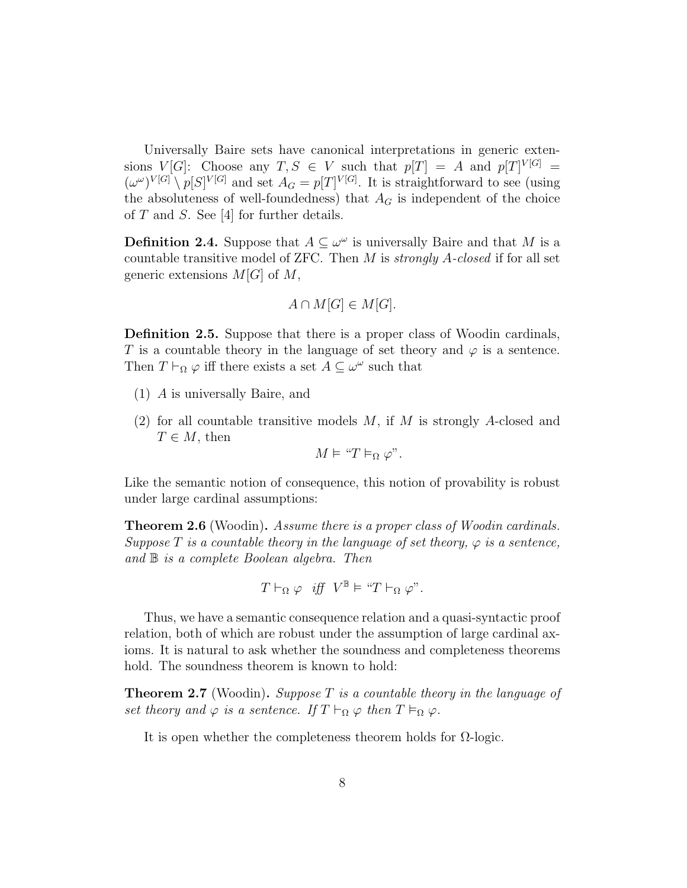Universally Baire sets have canonical interpretations in generic extensions  $V[G]$ : Choose any  $T, S \in V$  such that  $p[T] = A$  and  $p[T]^{V[G]} =$  $(\omega^{\omega})^{V[G]} \setminus p[S]^{V[G]}$  and set  $A_G = p[T]^{V[G]}$ . It is straightforward to see (using the absoluteness of well-foundedness) that  $A_G$  is independent of the choice of  $T$  and  $S$ . See [4] for further details.

**Definition 2.4.** Suppose that  $A \subseteq \omega^{\omega}$  is universally Baire and that M is a countable transitive model of ZFC. Then  $M$  is *strongly A-closed* if for all set generic extensions  $M[G]$  of  $M$ ,

$$
A \cap M[G] \in M[G].
$$

Definition 2.5. Suppose that there is a proper class of Woodin cardinals, T is a countable theory in the language of set theory and  $\varphi$  is a sentence. Then  $T \vdash_{\Omega} \varphi$  iff there exists a set  $A \subseteq \omega^{\omega}$  such that

- (1) A is universally Baire, and
- (2) for all countable transitive models  $M$ , if  $M$  is strongly  $A$ -closed and  $T \in M$ , then

$$
M \vDash "T \vDash_{\Omega} \varphi".
$$

Like the semantic notion of consequence, this notion of provability is robust under large cardinal assumptions:

**Theorem 2.6** (Woodin). Assume there is a proper class of Woodin cardinals. Suppose T is a countable theory in the language of set theory,  $\varphi$  is a sentence, and B is a complete Boolean algebra. Then

$$
T \vdash_{\Omega} \varphi \quad \text{iff} \quad V^{\mathbb{B}} \models \text{``}T \vdash_{\Omega} \varphi \text{''}.
$$

Thus, we have a semantic consequence relation and a quasi-syntactic proof relation, both of which are robust under the assumption of large cardinal axioms. It is natural to ask whether the soundness and completeness theorems hold. The soundness theorem is known to hold:

**Theorem 2.7** (Woodin). Suppose T is a countable theory in the language of set theory and  $\varphi$  is a sentence. If  $T \vdash_{\Omega} \varphi$  then  $T \vDash_{\Omega} \varphi$ .

It is open whether the completeness theorem holds for  $\Omega$ -logic.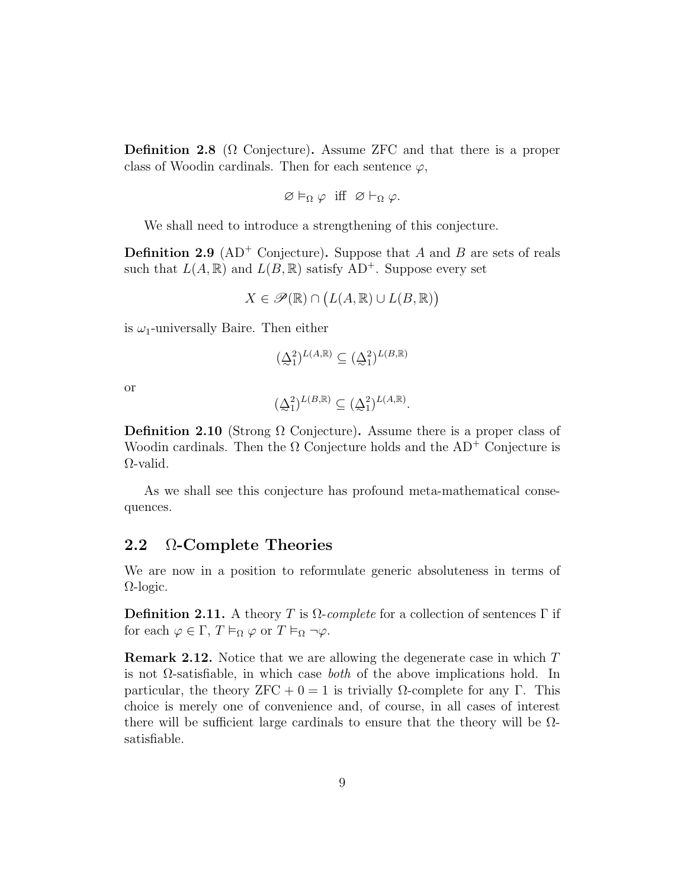**Definition 2.8** ( $\Omega$  Conjecture). Assume ZFC and that there is a proper class of Woodin cardinals. Then for each sentence  $\varphi$ ,

$$
\varnothing \vDash_{\Omega} \varphi \text{ iff } \varnothing \vdash_{\Omega} \varphi.
$$

We shall need to introduce a strengthening of this conjecture.

**Definition 2.9** ( $AD^+$  Conjecture). Suppose that A and B are sets of reals such that  $L(A, \mathbb{R})$  and  $L(B, \mathbb{R})$  satisfy  $AD^+$ . Suppose every set

$$
X \in \mathscr{P}(\mathbb{R}) \cap (L(A, \mathbb{R}) \cup L(B, \mathbb{R}))
$$

is  $\omega_1$ -universally Baire. Then either

$$
(\underline{\Delta}_1^2)^{L(A,\mathbb{R})} \subseteq (\underline{\Delta}_1^2)^{L(B,\mathbb{R})}
$$

or

$$
(\underline{\Delta}_1^2)^{L(B,\mathbb{R})}\subseteq (\underline{\Delta}_1^2)^{L(A,\mathbb{R})}.
$$

Definition 2.10 (Strong  $\Omega$  Conjecture). Assume there is a proper class of Woodin cardinals. Then the  $\Omega$  Conjecture holds and the AD<sup>+</sup> Conjecture is Ω-valid.

As we shall see this conjecture has profound meta-mathematical consequences.

#### 2.2 Ω-Complete Theories

We are now in a position to reformulate generic absoluteness in terms of Ω-logic.

**Definition 2.11.** A theory T is  $\Omega$ -complete for a collection of sentences  $\Gamma$  if for each  $\varphi \in \Gamma$ ,  $T \vDash_{\Omega} \varphi$  or  $T \vDash_{\Omega} \neg \varphi$ .

Remark 2.12. Notice that we are allowing the degenerate case in which T is not  $\Omega$ -satisfiable, in which case *both* of the above implications hold. In particular, the theory ZFC + 0 = 1 is trivially Ω-complete for any Γ. This choice is merely one of convenience and, of course, in all cases of interest there will be sufficient large cardinals to ensure that the theory will be  $\Omega$ satisfiable.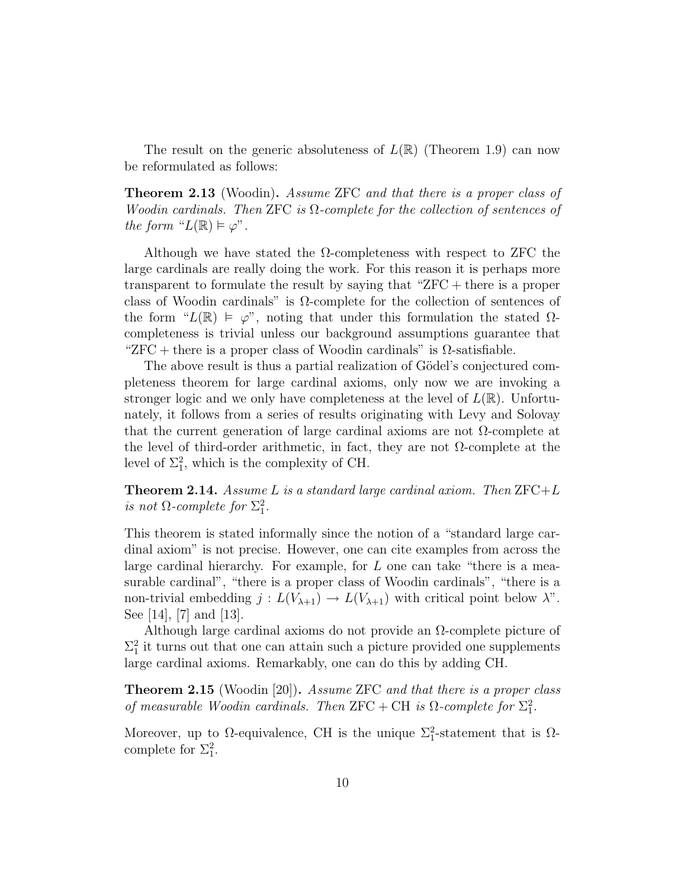The result on the generic absoluteness of  $L(\mathbb{R})$  (Theorem 1.9) can now be reformulated as follows:

Theorem 2.13 (Woodin). Assume ZFC and that there is a proper class of Woodin cardinals. Then ZFC is  $\Omega$ -complete for the collection of sentences of the form " $L(\mathbb{R}) \models \varphi$ ".

Although we have stated the  $\Omega$ -completeness with respect to ZFC the large cardinals are really doing the work. For this reason it is perhaps more transparent to formulate the result by saying that "ZFC + there is a proper class of Woodin cardinals" is  $\Omega$ -complete for the collection of sentences of the form " $L(\mathbb{R}) \models \varphi$ ", noting that under this formulation the stated  $\Omega$ completeness is trivial unless our background assumptions guarantee that " $ZFC +$  there is a proper class of Woodin cardinals" is  $\Omega$ -satisfiable.

The above result is thus a partial realization of Gödel's conjectured completeness theorem for large cardinal axioms, only now we are invoking a stronger logic and we only have completeness at the level of  $L(\mathbb{R})$ . Unfortunately, it follows from a series of results originating with Levy and Solovay that the current generation of large cardinal axioms are not  $\Omega$ -complete at the level of third-order arithmetic, in fact, they are not  $\Omega$ -complete at the level of  $\Sigma_1^2$ , which is the complexity of CH.

**Theorem 2.14.** Assume L is a standard large cardinal axiom. Then  $\text{ZFC}+L$ is not  $\Omega$ -complete for  $\Sigma_1^2$ .

This theorem is stated informally since the notion of a "standard large cardinal axiom" is not precise. However, one can cite examples from across the large cardinal hierarchy. For example, for  $L$  one can take "there is a measurable cardinal", "there is a proper class of Woodin cardinals", "there is a non-trivial embedding  $j: L(V_{\lambda+1}) \to L(V_{\lambda+1})$  with critical point below  $\lambda$ ". See [14], [7] and [13].

Although large cardinal axioms do not provide an  $\Omega$ -complete picture of  $\Sigma_1^2$  it turns out that one can attain such a picture provided one supplements large cardinal axioms. Remarkably, one can do this by adding CH.

**Theorem 2.15** (Woodin [20]). Assume ZFC and that there is a proper class of measurable Woodin cardinals. Then ZFC + CH is  $\Omega$ -complete for  $\Sigma_1^2$ .

Moreover, up to  $\Omega$ -equivalence, CH is the unique  $\Sigma_1^2$ -statement that is  $\Omega$ complete for  $\Sigma_1^2$ .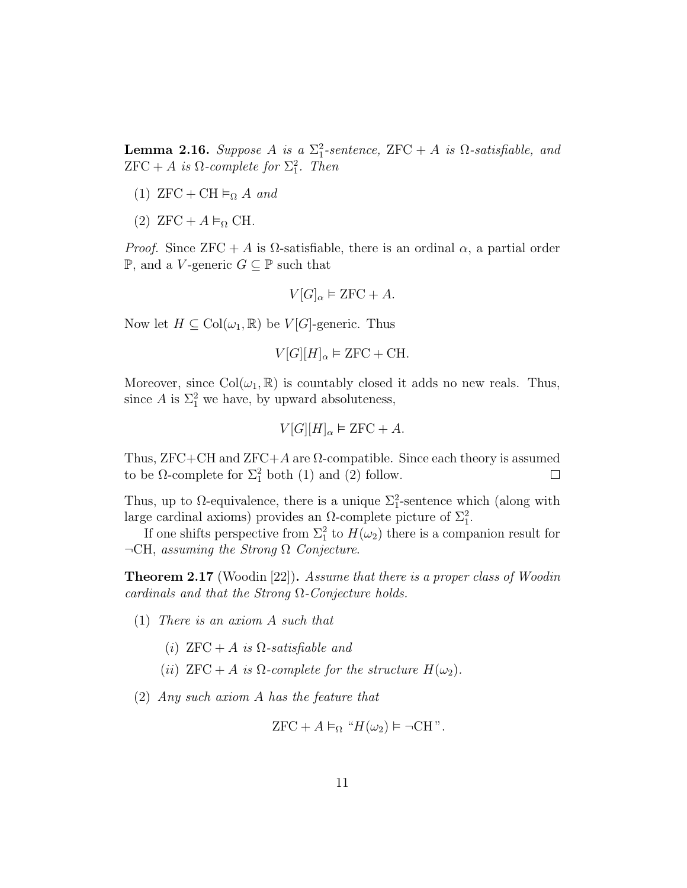**Lemma 2.16.** Suppose A is a  $\Sigma_1^2$ -sentence, ZFC + A is  $\Omega$ -satisfiable, and  ${\rm ZFC}+A$  is  $\Omega$ -complete for  $\Sigma_1^2$ . Then

- (1)  $ZFC + CH \vDash_{\Omega} A$  and
- (2)  $ZFC + A \vDash_{\Omega} CH$ .

*Proof.* Since  $ZFC + A$  is  $\Omega$ -satisfiable, there is an ordinal  $\alpha$ , a partial order **P**, and a *V*-generic *G* ⊆ **P** such that

$$
V[G]_{\alpha} \vDash \text{ZFC} + A.
$$

Now let  $H \subseteq \text{Col}(\omega_1, \mathbb{R})$  be  $V[G]$ -generic. Thus

$$
V[G][H]_{\alpha} \vDash \text{ZFC} + \text{CH}.
$$

Moreover, since  $Col(\omega_1, \mathbb{R})$  is countably closed it adds no new reals. Thus, since A is  $\Sigma_1^2$  we have, by upward absoluteness,

$$
V[G][H]_{\alpha} \models \text{ZFC} + A.
$$

Thus,  $ZFC+CH$  and  $ZFC+A$  are  $\Omega$ -compatible. Since each theory is assumed to be  $\Omega$ -complete for  $\Sigma_1^2$  both (1) and (2) follow.  $\Box$ 

Thus, up to  $\Omega$ -equivalence, there is a unique  $\Sigma_1^2$ -sentence which (along with large cardinal axioms) provides an  $\Omega$ -complete picture of  $\Sigma_1^2$ .

If one shifts perspective from  $\Sigma_1^2$  to  $H(\omega_2)$  there is a companion result for  $\neg$ CH, assuming the Strong  $\Omega$  Conjecture.

**Theorem 2.17** (Woodin [22]). Assume that there is a proper class of Woodin cardinals and that the Strong  $\Omega$ -Conjecture holds.

- (1) There is an axiom A such that
	- (i)  $ZFC + A$  is  $\Omega$ -satisfiable and
	- (ii)  $ZFC + A$  is  $\Omega$ -complete for the structure  $H(\omega_2)$ .
- (2) Any such axiom A has the feature that

$$
ZFC + A \vDash_{\Omega} "H(\omega_2) \vDash \neg CH".
$$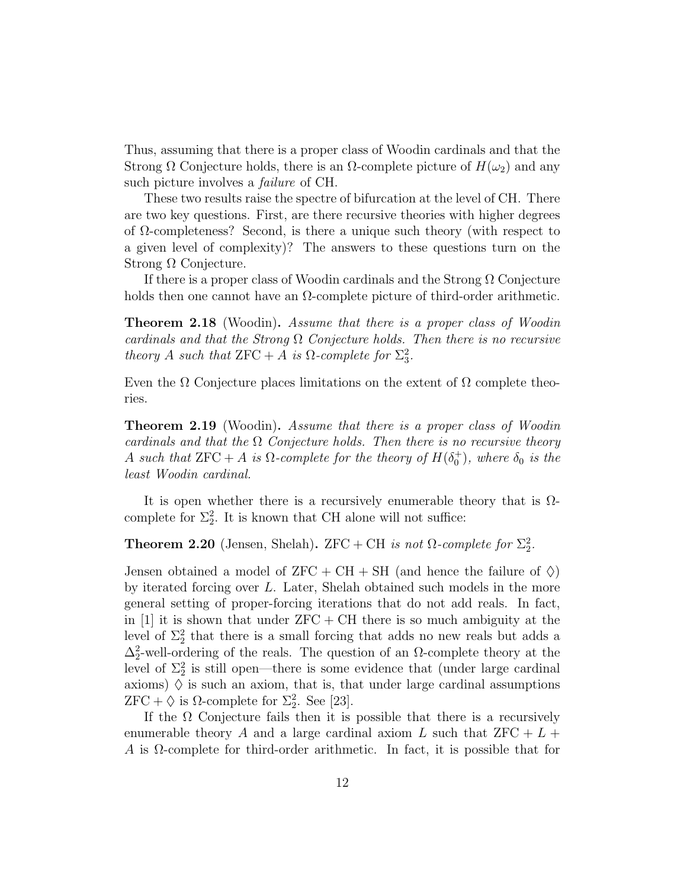Thus, assuming that there is a proper class of Woodin cardinals and that the Strong  $\Omega$  Conjecture holds, there is an  $\Omega$ -complete picture of  $H(\omega_2)$  and any such picture involves a *failure* of CH.

These two results raise the spectre of bifurcation at the level of CH. There are two key questions. First, are there recursive theories with higher degrees of  $\Omega$ -completeness? Second, is there a unique such theory (with respect to a given level of complexity)? The answers to these questions turn on the Strong Ω Conjecture.

If there is a proper class of Woodin cardinals and the Strong  $\Omega$  Conjecture holds then one cannot have an  $\Omega$ -complete picture of third-order arithmetic.

**Theorem 2.18** (Woodin). Assume that there is a proper class of Woodin cardinals and that the Strong  $\Omega$  Conjecture holds. Then there is no recursive theory A such that  $ZFC + A$  is  $\Omega$ -complete for  $\Sigma_3^2$ .

Even the  $\Omega$  Conjecture places limitations on the extent of  $\Omega$  complete theories.

**Theorem 2.19** (Woodin). Assume that there is a proper class of Woodin cardinals and that the  $\Omega$  Conjecture holds. Then there is no recursive theory A such that  $ZFC + A$  is  $\Omega$ -complete for the theory of  $H(\delta_0^+)$ , where  $\delta_0$  is the least Woodin cardinal.

It is open whether there is a recursively enumerable theory that is  $\Omega$ complete for  $\Sigma_2^2$ . It is known that CH alone will not suffice:

**Theorem 2.20** (Jensen, Shelah). ZFC + CH is not  $\Omega$ -complete for  $\Sigma_2^2$ .

Jensen obtained a model of  $ZFC + CH + SH$  (and hence the failure of  $\Diamond$ ) by iterated forcing over L. Later, Shelah obtained such models in the more general setting of proper-forcing iterations that do not add reals. In fact, in [1] it is shown that under  $ZFC + CH$  there is so much ambiguity at the level of  $\Sigma_2^2$  that there is a small forcing that adds no new reals but adds a  $\Delta_2^2$ -well-ordering of the reals. The question of an  $\Omega$ -complete theory at the level of  $\Sigma_2^2$  is still open—there is some evidence that (under large cardinal axioms)  $\Diamond$  is such an axiom, that is, that under large cardinal assumptions  $ZFC + \diamondsuit$  is  $\Omega$ -complete for  $\Sigma_2^2$ . See [23].

If the  $\Omega$  Conjecture fails then it is possible that there is a recursively enumerable theory A and a large cardinal axiom L such that  $ZFC + L +$ A is Ω-complete for third-order arithmetic. In fact, it is possible that for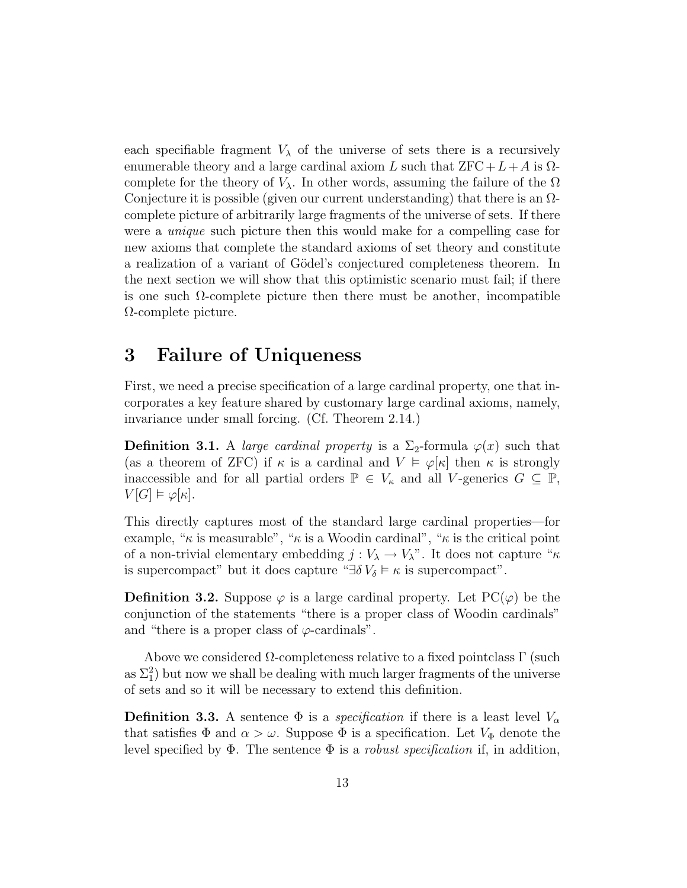each specifiable fragment  $V_{\lambda}$  of the universe of sets there is a recursively enumerable theory and a large cardinal axiom L such that  $ZFC+L+A$  is  $\Omega$ complete for the theory of  $V_\lambda$ . In other words, assuming the failure of the  $\Omega$ Conjecture it is possible (given our current understanding) that there is an  $\Omega$ complete picture of arbitrarily large fragments of the universe of sets. If there were a unique such picture then this would make for a compelling case for new axioms that complete the standard axioms of set theory and constitute a realization of a variant of Gödel's conjectured completeness theorem. In the next section we will show that this optimistic scenario must fail; if there is one such  $\Omega$ -complete picture then there must be another, incompatible Ω-complete picture.

### 3 Failure of Uniqueness

First, we need a precise specification of a large cardinal property, one that incorporates a key feature shared by customary large cardinal axioms, namely, invariance under small forcing. (Cf. Theorem 2.14.)

**Definition 3.1.** A *large cardinal property* is a  $\Sigma_2$ -formula  $\varphi(x)$  such that (as a theorem of ZFC) if  $\kappa$  is a cardinal and  $V \models \varphi[\kappa]$  then  $\kappa$  is strongly inaccessible and for all partial orders  $\mathbb{P} \in V_{\kappa}$  and all V-generics  $G \subseteq \mathbb{P}$ ,  $V[G] \vDash \varphi[\kappa].$ 

This directly captures most of the standard large cardinal properties—for example, " $\kappa$  is measurable", " $\kappa$  is a Woodin cardinal", " $\kappa$  is the critical point of a non-trivial elementary embedding  $j: V_\lambda \to V_\lambda$ ". It does not capture " $\kappa$ is supercompact" but it does capture " $\exists \delta V_{\delta} \models \kappa$  is supercompact".

**Definition 3.2.** Suppose  $\varphi$  is a large cardinal property. Let  $PC(\varphi)$  be the conjunction of the statements "there is a proper class of Woodin cardinals" and "there is a proper class of  $\varphi$ -cardinals".

Above we considered  $\Omega$ -completeness relative to a fixed pointclass  $\Gamma$  (such as  $\Sigma_1^2$ ) but now we shall be dealing with much larger fragments of the universe of sets and so it will be necessary to extend this definition.

**Definition 3.3.** A sentence  $\Phi$  is a *specification* if there is a least level  $V_{\alpha}$ that satisfies  $\Phi$  and  $\alpha > \omega$ . Suppose  $\Phi$  is a specification. Let  $V_{\Phi}$  denote the level specified by  $\Phi$ . The sentence  $\Phi$  is a *robust specification* if, in addition,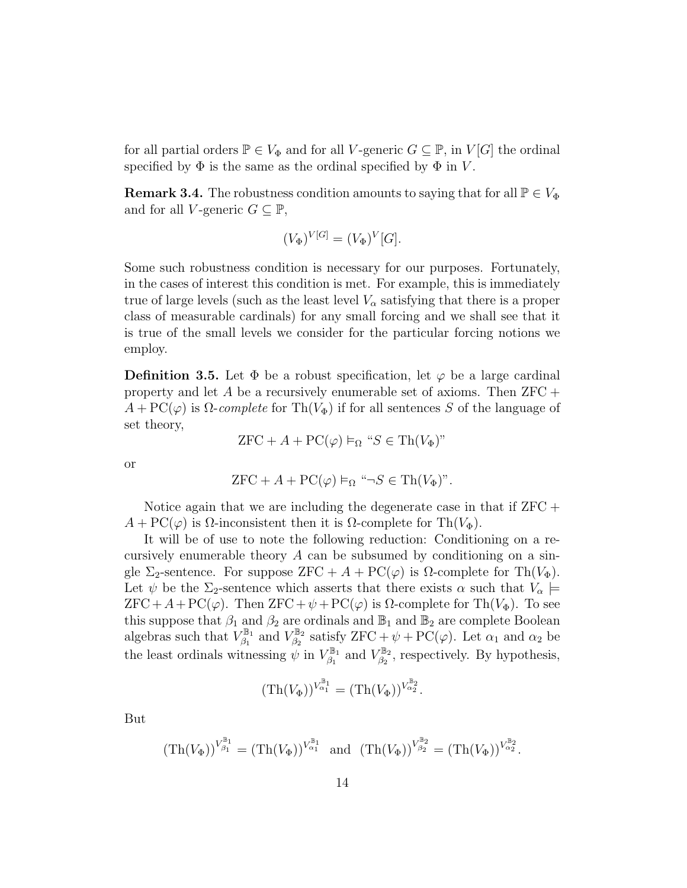for all partial orders  $\mathbb{P} \in V_{\Phi}$  and for all V-generic  $G \subseteq \mathbb{P}$ , in  $V[G]$  the ordinal specified by  $\Phi$  is the same as the ordinal specified by  $\Phi$  in V.

**Remark 3.4.** The robustness condition amounts to saying that for all  $\mathbb{P} \in V_{\Phi}$ and for all V-generic  $G \subseteq \mathbb{P}$ ,

$$
(V_{\Phi})^{V[G]} = (V_{\Phi})^{V}[G].
$$

Some such robustness condition is necessary for our purposes. Fortunately, in the cases of interest this condition is met. For example, this is immediately true of large levels (such as the least level  $V_{\alpha}$  satisfying that there is a proper class of measurable cardinals) for any small forcing and we shall see that it is true of the small levels we consider for the particular forcing notions we employ.

**Definition 3.5.** Let  $\Phi$  be a robust specification, let  $\varphi$  be a large cardinal property and let A be a recursively enumerable set of axioms. Then  $ZFC +$  $A + PC(\varphi)$  is  $\Omega$ -complete for Th $(V_{\Phi})$  if for all sentences S of the language of set theory,

$$
ZFC + A + PC(\varphi) \vDash_{\Omega} "S \in \text{Th}(V_{\Phi})"
$$

or

$$
ZFC + A + PC(\varphi) \vDash_{\Omega} \text{``}\neg S \in \text{Th}(V_{\Phi})\text{''}.
$$

Notice again that we are including the degenerate case in that if  $ZFC +$  $A + \mathrm{PC}(\varphi)$  is  $\Omega$ -inconsistent then it is  $\Omega$ -complete for Th $(V_{\Phi})$ .

It will be of use to note the following reduction: Conditioning on a recursively enumerable theory  $A$  can be subsumed by conditioning on a single  $\Sigma_2$ -sentence. For suppose ZFC + A + PC( $\varphi$ ) is  $\Omega$ -complete for Th( $V_{\Phi}$ ). Let  $\psi$  be the  $\Sigma_2$ -sentence which asserts that there exists  $\alpha$  such that  $V_\alpha \models$  $ZFC + A + PC(\varphi)$ . Then  $ZFC + \psi + PC(\varphi)$  is  $\Omega$ -complete for Th $(V_{\Phi})$ . To see this suppose that  $\beta_1$  and  $\beta_2$  are ordinals and  $\mathbb{B}_1$  and  $\mathbb{B}_2$  are complete Boolean algebras such that  $V_{\beta_1}^{\mathbb{B}_1}$  $V_{\beta_1}^{\mathbb{B}_1}$  and  $V_{\beta_2}^{\mathbb{B}_2}$ <sup><sup>B<sub>2</sub></sup></sup> satisfy  $ZFC + \psi + PC(\varphi)$ . Let  $\alpha_1$  and  $\alpha_2$  be the least ordinals witnessing  $\psi$  in  $V_{\beta_1}^{\mathbb{B}_1}$  $\chi_{\beta_1}^{\mathbb{B}_1}$  and  $V_{\beta_2}^{\mathbb{B}_2}$  $\mathcal{B}_{\beta_2}^{\mathbb{Z}_2}$ , respectively. By hypothesis,

$$
(\operatorname{Th}(V_\Phi))^{V_{\alpha_1}^{\mathbb B_1}} = (\operatorname{Th}(V_\Phi))^{V_{\alpha_2}^{\mathbb B_2}}.
$$

But

$$
(\mathrm{Th}(V_{\Phi}))^{V_{\beta_1}^{\mathbb{B}_1}} = (\mathrm{Th}(V_{\Phi}))^{V_{\alpha_1}^{\mathbb{B}_1}} \text{ and } (\mathrm{Th}(V_{\Phi}))^{V_{\beta_2}^{\mathbb{B}_2}} = (\mathrm{Th}(V_{\Phi}))^{V_{\alpha_2}^{\mathbb{B}_2}}.
$$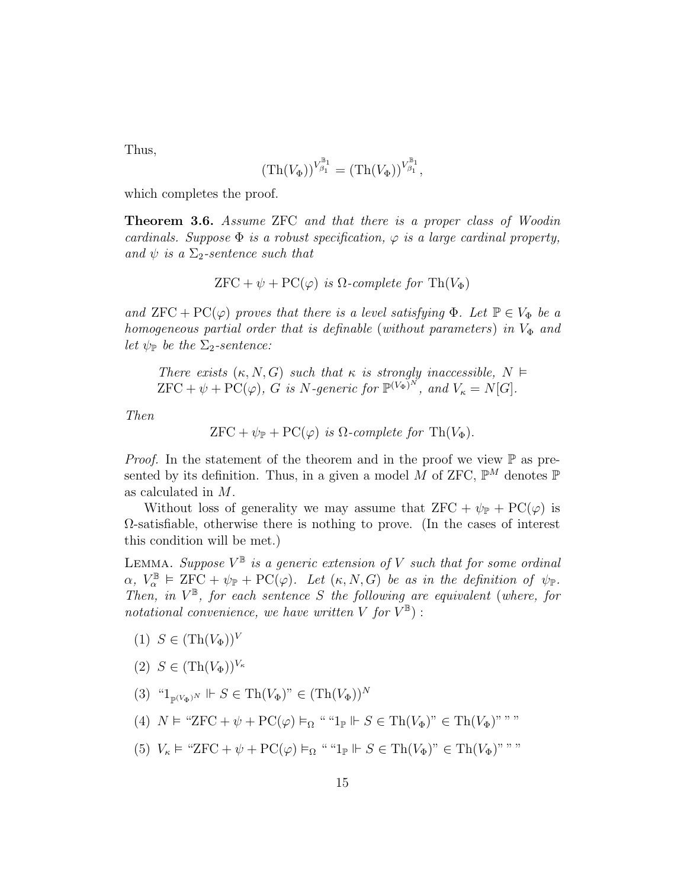Thus,

$$
(\mathrm{Th}(V_{\Phi}))^{V_{\beta_1}^{\mathbb{B}_1}} = (\mathrm{Th}(V_{\Phi}))^{V_{\beta_1}^{\mathbb{B}_1}},
$$

which completes the proof.

Theorem 3.6. Assume ZFC and that there is a proper class of Woodin cardinals. Suppose  $\Phi$  is a robust specification,  $\varphi$  is a large cardinal property, and  $\psi$  is a  $\Sigma_2$ -sentence such that

$$
ZFC + \psi + PC(\varphi) \ \text{is} \ \Omega\text{-complete for } \operatorname{Th}(V_{\Phi})
$$

and  $ZFC + PC(\varphi)$  proves that there is a level satisfying  $\Phi$ . Let  $\mathbb{P} \in V_{\Phi}$  be a homogeneous partial order that is definable (without parameters) in  $V_{\Phi}$  and let  $\psi_{\mathbb{P}}$  be the  $\Sigma_2$ -sentence:

There exists  $(\kappa, N, G)$  such that  $\kappa$  is strongly inaccessible,  $N \models$  ${\rm ZFC} + \psi + {\rm PC}(\varphi)$ , G is N-generic for  $\mathbb{P}^{(V_{\Phi})^N}$ , and  $V_{\kappa} = N[G]$ .

Then

$$
ZFC + \psi_{\mathbb{P}} + PC(\varphi) \ \text{is} \ \Omega\text{-complete for } \operatorname{Th}(V_{\Phi}).
$$

*Proof.* In the statement of the theorem and in the proof we view  $\mathbb P$  as presented by its definition. Thus, in a given a model M of ZFC,  $\mathbb{P}^M$  denotes  $\mathbb P$ as calculated in M.

Without loss of generality we may assume that  $ZFC + \psi_{\mathbb{P}} + \text{PC}(\varphi)$  is  $\Omega$ -satisfiable, otherwise there is nothing to prove. (In the cases of interest this condition will be met.)

LEMMA. Suppose  $V^{\mathbb{B}}$  is a generic extension of V such that for some ordinal  $\alpha, V_{\alpha}^{\mathbb{B}} \models \mathsf{ZFC} + \psi_{\mathbb{P}} + \mathsf{PC}(\varphi)$ . Let  $(\kappa, N, G)$  be as in the definition of  $\psi_{\mathbb{P}}$ . Then, in  $V^{\mathbb{B}}$ , for each sentence S the following are equivalent (where, for notational convenience, we have written V for  $V^{\mathbb{B}}$ ) :

- $(1)$   $S \in (Th(V_{\Phi}))^V$
- (2)  $S \in (\text{Th}(V_{\Phi}))^{V_{\kappa}}$
- (3)  $\mathcal{L}_{\mathbb{P}(V_{\Phi})^N}$   $\Vdash S \in \text{Th}(V_{\Phi})^n \in (\text{Th}(V_{\Phi}))^N$
- (4)  $N \vDash$  "ZFC +  $\psi$  + PC( $\varphi$ )  $\vDash_{\Omega}$  " " $1_{\mathbb{P}} \Vdash S \in Th(V_{\Phi})$ "  $\in Th(V_{\Phi})$ " ""
- (5)  $V_{\kappa} \models$  "ZFC +  $\psi$  + PC( $\varphi$ )  $\vDash_{\Omega}$  " " $1_{\mathbb{P}} \Vdash S \in Th(V_{\Phi})$ "  $\in Th(V_{\Phi})$ " ""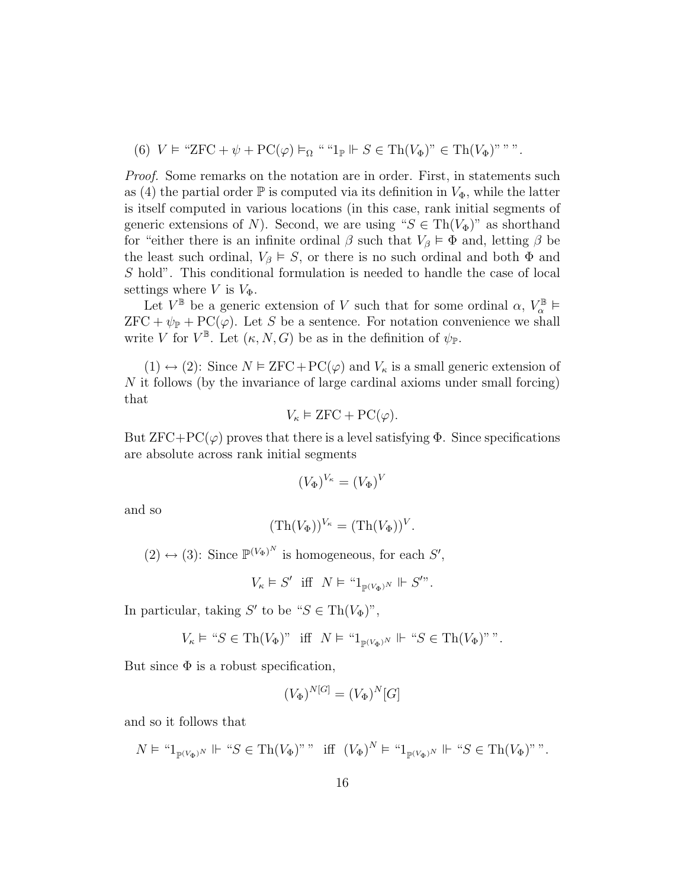(6) 
$$
V \vDash ``\text{ZFC} + \psi + \text{PC}(\varphi) \vDash_{\Omega} ````1_{\mathbb{P}} \Vdash S \in \text{Th}(V_{\Phi})"
$$
  $\vDash \text{Th}(V_{\Phi})"$ ."

Proof. Some remarks on the notation are in order. First, in statements such as (4) the partial order  $\mathbb P$  is computed via its definition in  $V_{\Phi}$ , while the latter is itself computed in various locations (in this case, rank initial segments of generic extensions of N). Second, we are using " $S \in Th(V_{\Phi})$ " as shorthand for "either there is an infinite ordinal  $\beta$  such that  $V_{\beta} \models \Phi$  and, letting  $\beta$  be the least such ordinal,  $V_\beta \models S$ , or there is no such ordinal and both  $\Phi$  and S hold". This conditional formulation is needed to handle the case of local settings where V is  $V_{\Phi}$ .

Let  $V^{\mathbb{B}}$  be a generic extension of V such that for some ordinal  $\alpha, V^{\mathbb{B}}_{\alpha} \models$  $ZFC + \psi_{\mathbb{P}} + PC(\varphi)$ . Let S be a sentence. For notation convenience we shall write V for  $V^{\mathbb{B}}$ . Let  $(\kappa, N, G)$  be as in the definition of  $\psi_{\mathbb{P}}$ .

(1)  $\leftrightarrow$  (2): Since  $N \vDash \text{ZFC} + \text{PC}(\varphi)$  and  $V_{\kappa}$  is a small generic extension of N it follows (by the invariance of large cardinal axioms under small forcing) that

$$
V_{\kappa} \vDash \text{ZFC} + \text{PC}(\varphi).
$$

But  $ZFC+PC(\varphi)$  proves that there is a level satisfying  $\Phi$ . Since specifications are absolute across rank initial segments

$$
(V_{\Phi})^{V_{\kappa}}=(V_{\Phi})^{V}
$$

and so

$$
(\mathrm{Th}(V_{\Phi}))^{V_{\kappa}} = (\mathrm{Th}(V_{\Phi}))^{V}.
$$

 $(2) \leftrightarrow (3)$ : Since  $\mathbb{P}^{(V_{\Phi})^N}$  is homogeneous, for each  $S'$ ,

$$
V_{\kappa} \vDash S' \text{ iff } N \vDash \text{``}1_{\mathbb{P}^{(V_{\Phi})^N}} \Vdash S^{\prime \text{''}}.
$$

In particular, taking  $S'$  to be " $S \in Th(V_{\Phi})$ ",

$$
V_{\kappa}\vDash \text{``}S\in \mathsf{Th}(V_{\Phi})\text{''} \ \ \text{iff} \ \ N\vDash \text{``}1_{\mathbb{P}^{(V_{\Phi})^N}}\Vdash \text{``}S\in \mathsf{Th}(V_{\Phi})\text{''''}.
$$

But since  $\Phi$  is a robust specification,

$$
(V_{\Phi})^{N[G]} = (V_{\Phi})^N[G]
$$

and so it follows that

$$
N \vDash \text{``} 1_{\mathbb{P}^{(V_{\Phi})^N}} \Vdash \text{``} S \in \text{Th}(V_{\Phi})
$$
" " iff  $(V_{\Phi})^N \vDash \text{``} 1_{\mathbb{P}^{(V_{\Phi})^N}} \Vdash \text{``} S \in \text{Th}(V_{\Phi})$ "".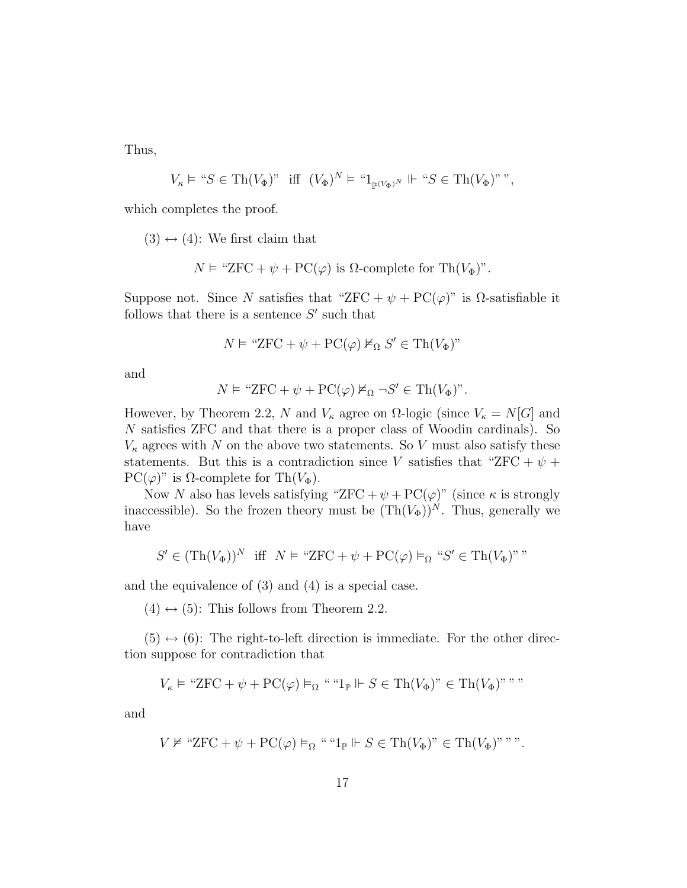Thus,

$$
V_\kappa\models\text{``}S\in\operatorname{Th}(V_\Phi)\text{''}\quad\text{iff}\quad (V_\Phi)^N\models\text{``}1_{\mathbb{P}^{(V_\Phi)^N}}\Vdash\text{``}S\in\operatorname{Th}(V_\Phi)\text{''''},
$$

which completes the proof.

 $(3) \leftrightarrow (4)$ : We first claim that

$$
N \vDash "ZFC + \psi + PC(\varphi) \text{ is } \Omega\text{-complete for } \text{Th}(V_{\Phi})".
$$

Suppose not. Since N satisfies that "ZFC +  $\psi$  + PC( $\varphi$ )" is  $\Omega$ -satisfiable it follows that there is a sentence  $S'$  such that

$$
N \vDash "ZFC + \psi + PC(\varphi) \nvDash_{\Omega} S' \in \text{Th}(V_{\Phi})"
$$

and

$$
N \vDash "ZFC + \psi + PC(\varphi) \nvDash_{\Omega} \neg S' \in \text{Th}(V_{\Phi})".
$$

However, by Theorem 2.2, N and  $V_{\kappa}$  agree on  $\Omega$ -logic (since  $V_{\kappa} = N[G]$  and N satisfies ZFC and that there is a proper class of Woodin cardinals). So  $V_{\kappa}$  agrees with N on the above two statements. So V must also satisfy these statements. But this is a contradiction since V satisfies that "ZFC +  $\psi$  +  $PC(\varphi)$ " is  $\Omega$ -complete for Th $(V_{\Phi})$ .

Now N also has levels satisfying "ZFC +  $\psi$  + PC( $\varphi$ )" (since  $\kappa$  is strongly inaccessible). So the frozen theory must be  $(Th(V_{\Phi}))^N$ . Thus, generally we have

$$
S' \in (\text{Th}(V_{\Phi}))^N \text{ iff } N \vDash \text{``ZFC} + \psi + \text{PC}(\varphi) \vDash_{\Omega} \text{``} S' \in \text{Th}(V_{\Phi})^{\text{''''}}
$$

and the equivalence of (3) and (4) is a special case.

 $(4) \leftrightarrow (5)$ : This follows from Theorem 2.2.

 $(5) \leftrightarrow (6)$ : The right-to-left direction is immediate. For the other direction suppose for contradiction that

$$
V_{\kappa} \vDash \text{``ZFC} + \psi + \text{PC}(\varphi) \vDash_{\Omega} \text{````1}_{\mathbb{P}} \Vdash S \in \text{Th}(V_{\Phi})\text{''} \in \text{Th}(V_{\Phi})\text{''''''}
$$

and

$$
V \nvDash "ZFC + \psi + PC(\varphi) \vDash_{\Omega} " "1_{\mathbb{P}} \Vdash S \in \text{Th}(V_{\Phi})" \in \text{Th}(V_{\Phi})" "".
$$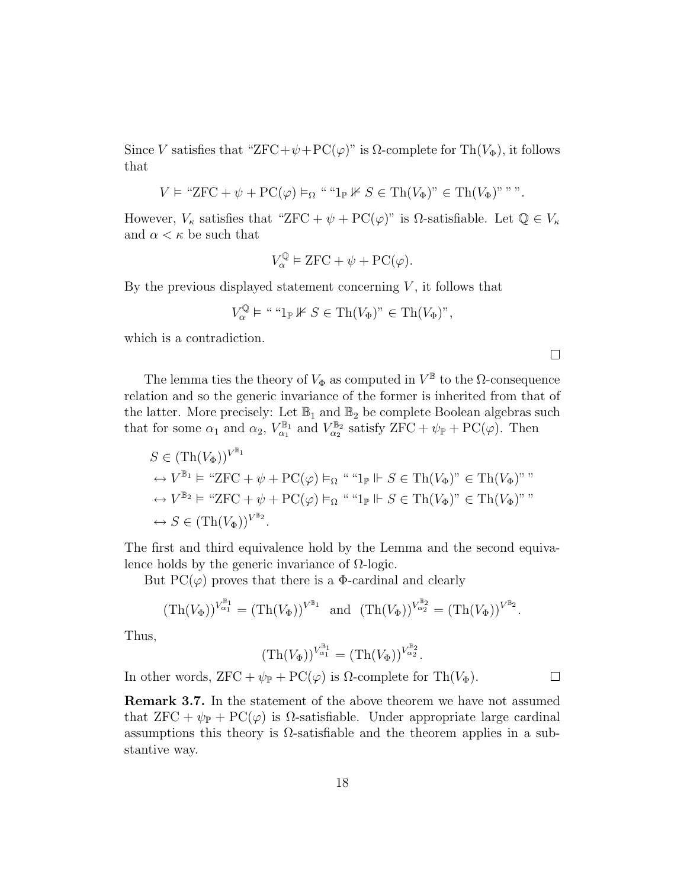Since V satisfies that "ZFC+ $\psi$ +PC( $\varphi$ )" is  $\Omega$ -complete for Th( $V_{\Phi}$ ), it follows that

$$
V \vDash \text{``ZFC} + \psi + \text{PC}(\varphi) \vDash_{\Omega} \text{````1}_{\mathbb{P}} \mathbb{K} S \in \text{Th}(V_{\Phi})\text{''} \in \text{Th}(V_{\Phi})\text{''''''}.
$$

However,  $V_{\kappa}$  satisfies that "ZFC +  $\psi$  + PC( $\varphi$ )" is  $\Omega$ -satisfiable. Let  $\mathbb{Q} \in V_{\kappa}$ and  $\alpha < \kappa$  be such that

$$
V_{\alpha}^{\mathbb{Q}} \vDash \text{ZFC} + \psi + \text{PC}(\varphi).
$$

By the previous displayed statement concerning  $V$ , it follows that

$$
V_\alpha^{\mathbb{Q}} \vDash ``\text{``1}_{\mathbb{P}} \nVdash S \in \text{Th}(V_{\Phi})\text{''} \in \text{Th}(V_{\Phi})\text{''},
$$

which is a contradiction.

 $\Box$ 

 $\Box$ 

The lemma ties the theory of  $V_{\Phi}$  as computed in  $V^{\mathbb{B}}$  to the  $\Omega$ -consequence relation and so the generic invariance of the former is inherited from that of the latter. More precisely: Let  $\mathbb{B}_1$  and  $\mathbb{B}_2$  be complete Boolean algebras such that for some  $\alpha_1$  and  $\alpha_2$ ,  $V_{\alpha_1}^{\mathbb{B}_1}$  and  $V_{\alpha_2}^{\mathbb{B}_2}$  satisfy  $ZFC + \psi_{\mathbb{P}} + \text{PC}(\varphi)$ . Then

$$
S \in (\text{Th}(V_{\Phi}))^{V^{\mathbb{B}_{1}}} \n\leftrightarrow V^{\mathbb{B}_{1}} \models \text{``ZFC} + \psi + \text{PC}(\varphi) \vDash_{\Omega} \text{````1}_{\mathbb{P}} \Vdash S \in \text{Th}(V_{\Phi})\text{''} \in \text{Th}(V_{\Phi})\text{''''} \n\leftrightarrow V^{\mathbb{B}_{2}} \vDash \text{``ZFC} + \psi + \text{PC}(\varphi) \vDash_{\Omega} \text{````1}_{\mathbb{P}} \Vdash S \in \text{Th}(V_{\Phi})\text{''} \in \text{Th}(V_{\Phi})\text{''''} \n\leftrightarrow S \in (\text{Th}(V_{\Phi}))^{V^{\mathbb{B}_{2}}}.
$$

The first and third equivalence hold by the Lemma and the second equivalence holds by the generic invariance of  $\Omega$ -logic.

But  $PC(\varphi)$  proves that there is a  $\Phi$ -cardinal and clearly

$$
(\mathrm{Th}(V_{\Phi}))^{V_{\alpha_1}^{\mathbb{B}_1}} = (\mathrm{Th}(V_{\Phi}))^{V^{\mathbb{B}_1}} \text{ and } (\mathrm{Th}(V_{\Phi}))^{V_{\alpha_2}^{\mathbb{B}_2}} = (\mathrm{Th}(V_{\Phi}))^{V^{\mathbb{B}_2}}.
$$

Thus,

$$
(\text{Th}(V_{\Phi}))^{V_{\alpha_1}^{\mathbb{B}_1}} = (\text{Th}(V_{\Phi}))^{V_{\alpha_2}^{\mathbb{B}_2}}.
$$

In other words,  $ZFC + \psi_{\mathbb{P}} + \text{PC}(\varphi)$  is  $\Omega$ -complete for Th $(V_{\Phi})$ .

Remark 3.7. In the statement of the above theorem we have not assumed that  $ZFC + \psi_{\mathbb{P}}$  +  $PC(\varphi)$  is  $\Omega$ -satisfiable. Under appropriate large cardinal assumptions this theory is  $\Omega$ -satisfiable and the theorem applies in a substantive way.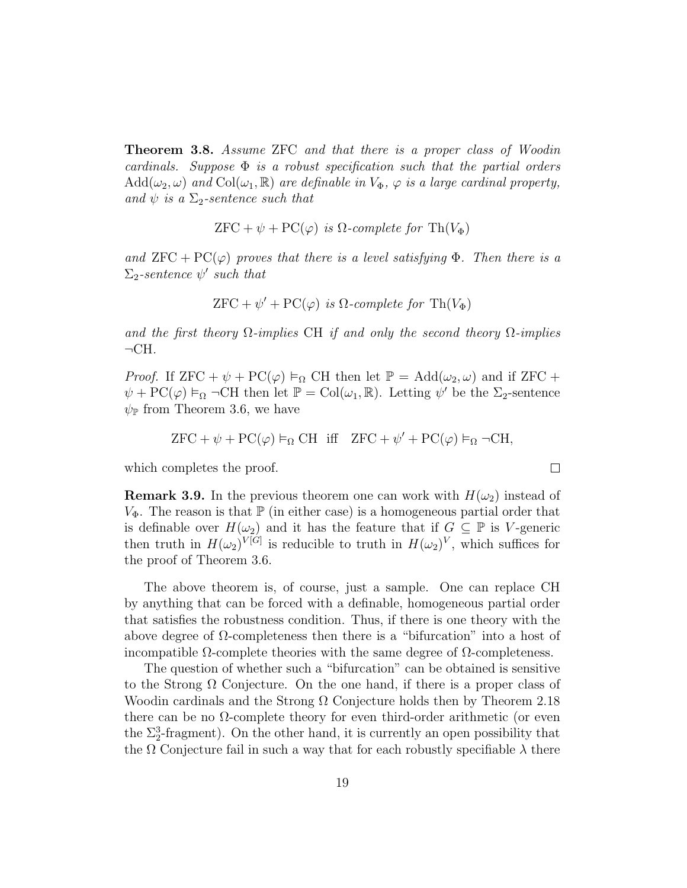Theorem 3.8. Assume ZFC and that there is a proper class of Woodin cardinals. Suppose  $\Phi$  is a robust specification such that the partial orders  $Add(\omega_2, \omega)$  and  $Col(\omega_1, \mathbb{R})$  are definable in  $V_{\Phi}$ ,  $\varphi$  is a large cardinal property, and  $\psi$  is a  $\Sigma_2$ -sentence such that

$$
ZFC + \psi + PC(\varphi) \ \text{is} \ \Omega\text{-complete for } \operatorname{Th}(V_{\Phi})
$$

and  $ZFC + PC(\varphi)$  proves that there is a level satisfying  $\Phi$ . Then there is a  $\Sigma_2$ -sentence  $\psi'$  such that

$$
ZFC + \psi' + PC(\varphi) \ \text{is} \ \Omega\text{-complete for } \operatorname{Th}(V_{\Phi})
$$

and the first theory  $\Omega$ -implies CH if and only the second theory  $\Omega$ -implies  $\neg$ CH.

*Proof.* If  $ZFC + \psi + PC(\varphi) \vDash_{\Omega} CH$  then let  $\mathbb{P} = \text{Add}(\omega_2, \omega)$  and if  $ZFC +$  $\psi + \mathrm{PC}(\varphi) \vDash_{\Omega} \neg \mathrm{CH}$  then let  $\mathbb{P} = \mathrm{Col}(\omega_1, \mathbb{R})$ . Letting  $\psi'$  be the  $\Sigma_2$ -sentence  $\psi_{\mathbb{P}}$  from Theorem 3.6, we have

$$
ZFC + \psi + PC(\varphi) \vDash_{\Omega} CH \quad \text{iff} \quad ZFC + \psi' + PC(\varphi) \vDash_{\Omega} \neg CH,
$$

 $\Box$ 

which completes the proof.

**Remark 3.9.** In the previous theorem one can work with  $H(\omega_2)$  instead of  $V_{\Phi}$ . The reason is that  $\mathbb{P}$  (in either case) is a homogeneous partial order that is definable over  $H(\omega_2)$  and it has the feature that if  $G \subseteq \mathbb{P}$  is V-generic then truth in  $H(\omega_2)^{V[G]}$  is reducible to truth in  $H(\omega_2)^V$ , which suffices for the proof of Theorem 3.6.

The above theorem is, of course, just a sample. One can replace CH by anything that can be forced with a definable, homogeneous partial order that satisfies the robustness condition. Thus, if there is one theory with the above degree of  $\Omega$ -completeness then there is a "bifurcation" into a host of incompatible Ω-complete theories with the same degree of Ω-completeness.

The question of whether such a "bifurcation" can be obtained is sensitive to the Strong  $\Omega$  Conjecture. On the one hand, if there is a proper class of Woodin cardinals and the Strong  $\Omega$  Conjecture holds then by Theorem 2.18 there can be no  $\Omega$ -complete theory for even third-order arithmetic (or even the  $\Sigma_2^3$ -fragment). On the other hand, it is currently an open possibility that the  $\Omega$  Conjecture fail in such a way that for each robustly specifiable  $\lambda$  there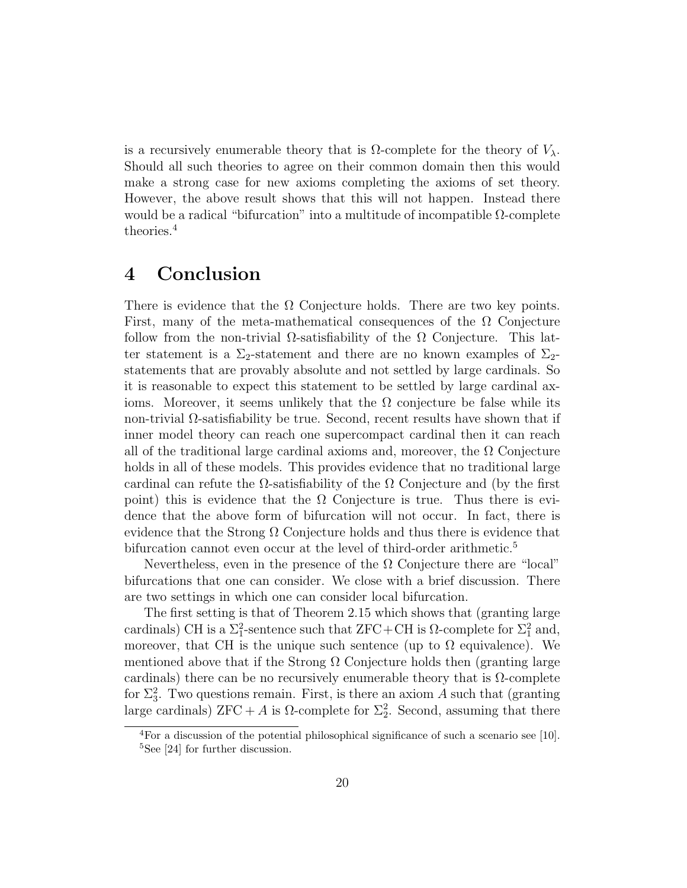is a recursively enumerable theory that is  $\Omega$ -complete for the theory of  $V_\lambda$ . Should all such theories to agree on their common domain then this would make a strong case for new axioms completing the axioms of set theory. However, the above result shows that this will not happen. Instead there would be a radical "bifurcation" into a multitude of incompatible  $\Omega$ -complete theories.<sup>4</sup>

## 4 Conclusion

There is evidence that the  $\Omega$  Conjecture holds. There are two key points. First, many of the meta-mathematical consequences of the  $\Omega$  Conjecture follow from the non-trivial  $\Omega$ -satisfiability of the  $\Omega$  Conjecture. This latter statement is a  $\Sigma_2$ -statement and there are no known examples of  $\Sigma_2$ statements that are provably absolute and not settled by large cardinals. So it is reasonable to expect this statement to be settled by large cardinal axioms. Moreover, it seems unlikely that the  $\Omega$  conjecture be false while its non-trivial  $\Omega$ -satisfiability be true. Second, recent results have shown that if inner model theory can reach one supercompact cardinal then it can reach all of the traditional large cardinal axioms and, moreover, the  $\Omega$  Conjecture holds in all of these models. This provides evidence that no traditional large cardinal can refute the  $\Omega$ -satisfiability of the  $\Omega$  Conjecture and (by the first point) this is evidence that the  $\Omega$  Conjecture is true. Thus there is evidence that the above form of bifurcation will not occur. In fact, there is evidence that the Strong  $\Omega$  Conjecture holds and thus there is evidence that bifurcation cannot even occur at the level of third-order arithmetic.<sup>5</sup>

Nevertheless, even in the presence of the  $\Omega$  Conjecture there are "local" bifurcations that one can consider. We close with a brief discussion. There are two settings in which one can consider local bifurcation.

The first setting is that of Theorem 2.15 which shows that (granting large cardinals) CH is a  $\Sigma_1^2$ -sentence such that ZFC+CH is  $\Omega$ -complete for  $\Sigma_1^2$  and, moreover, that CH is the unique such sentence (up to  $\Omega$  equivalence). We mentioned above that if the Strong  $\Omega$  Conjecture holds then (granting large cardinals) there can be no recursively enumerable theory that is  $\Omega$ -complete for  $\Sigma_3^2$ . Two questions remain. First, is there an axiom A such that (granting large cardinals)  $ZFC + A$  is  $\Omega$ -complete for  $\Sigma^2$ . Second, assuming that there

 ${}^{4}$ For a discussion of the potential philosophical significance of such a scenario see [10]. <sup>5</sup>See [24] for further discussion.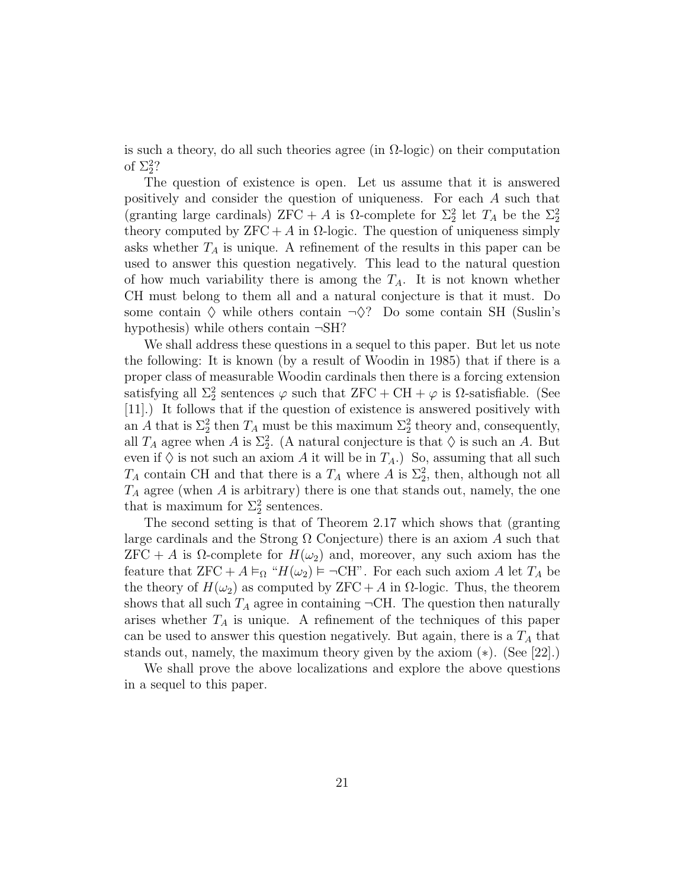is such a theory, do all such theories agree (in  $\Omega$ -logic) on their computation of  $\Sigma_2^2$ ?

The question of existence is open. Let us assume that it is answered positively and consider the question of uniqueness. For each A such that (granting large cardinals)  $ZFC + A$  is  $\Omega$ -complete for  $\Sigma_2^2$  let  $T_A$  be the  $\Sigma_2^2$ theory computed by  $ZFC + A$  in  $\Omega$ -logic. The question of uniqueness simply asks whether  $T_A$  is unique. A refinement of the results in this paper can be used to answer this question negatively. This lead to the natural question of how much variability there is among the  $T_A$ . It is not known whether CH must belong to them all and a natural conjecture is that it must. Do some contain  $\diamond$  while others contain  $\neg \diamond$ ? Do some contain SH (Suslin's hypothesis) while others contain  $\neg SH$ ?

We shall address these questions in a sequel to this paper. But let us note the following: It is known (by a result of Woodin in 1985) that if there is a proper class of measurable Woodin cardinals then there is a forcing extension satisfying all  $\Sigma_2^2$  sentences  $\varphi$  such that  ${\rm ZFC} + {\rm CH} + \varphi$  is  $\Omega$ -satisfiable. (See [11].) It follows that if the question of existence is answered positively with an A that is  $\Sigma_2^2$  then  $T_A$  must be this maximum  $\Sigma_2^2$  theory and, consequently, all  $T_A$  agree when A is  $\Sigma^2_2$ . (A natural conjecture is that  $\diamondsuit$  is such an A. But even if  $\Diamond$  is not such an axiom A it will be in  $T_A$ .) So, assuming that all such  $T_A$  contain CH and that there is a  $T_A$  where A is  $\Sigma_2^2$ , then, although not all  $T_A$  agree (when A is arbitrary) there is one that stands out, namely, the one that is maximum for  $\Sigma_2^2$  sentences.

The second setting is that of Theorem 2.17 which shows that (granting large cardinals and the Strong  $\Omega$  Conjecture) there is an axiom A such that  $ZFC + A$  is  $\Omega$ -complete for  $H(\omega_2)$  and, moreover, any such axiom has the feature that  $ZFC + A \vDash_{\Omega} "H(\omega_2) \vDash \neg CH"$ . For each such axiom A let  $T_A$  be the theory of  $H(\omega_2)$  as computed by ZFC + A in  $\Omega$ -logic. Thus, the theorem shows that all such  $T_A$  agree in containing  $\neg$ CH. The question then naturally arises whether  $T_A$  is unique. A refinement of the techniques of this paper can be used to answer this question negatively. But again, there is a  $T_A$  that stands out, namely, the maximum theory given by the axiom (∗). (See [22].)

We shall prove the above localizations and explore the above questions in a sequel to this paper.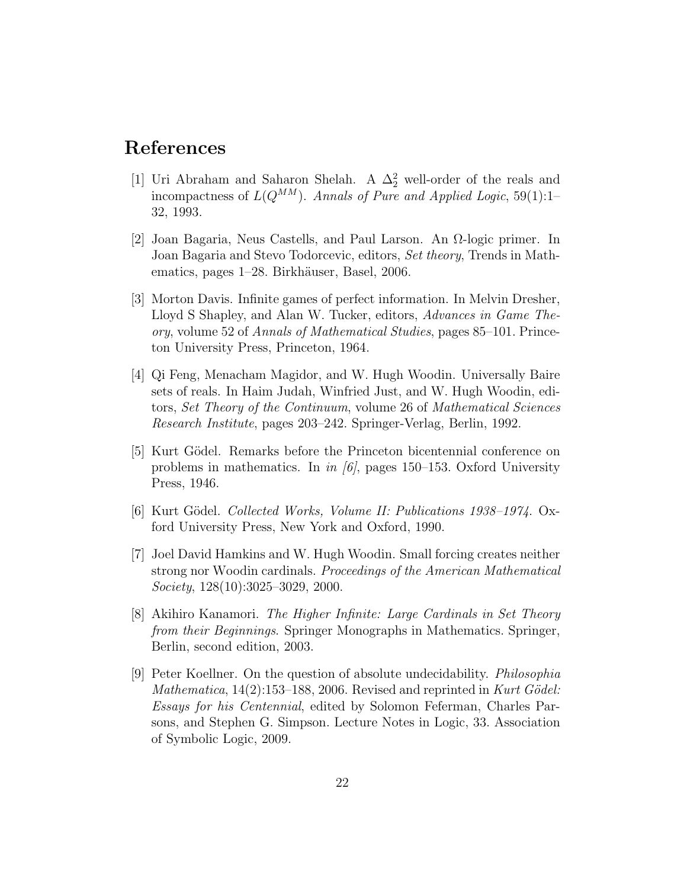## References

- [1] Uri Abraham and Saharon Shelah. A  $\Delta_2^2$  well-order of the reals and incompactness of  $L(Q^{MM})$ . Annals of Pure and Applied Logic, 59(1):1– 32, 1993.
- [2] Joan Bagaria, Neus Castells, and Paul Larson. An Ω-logic primer. In Joan Bagaria and Stevo Todorcevic, editors, Set theory, Trends in Mathematics, pages 1–28. Birkhäuser, Basel, 2006.
- [3] Morton Davis. Infinite games of perfect information. In Melvin Dresher, Lloyd S Shapley, and Alan W. Tucker, editors, Advances in Game Theory, volume 52 of Annals of Mathematical Studies, pages 85–101. Princeton University Press, Princeton, 1964.
- [4] Qi Feng, Menacham Magidor, and W. Hugh Woodin. Universally Baire sets of reals. In Haim Judah, Winfried Just, and W. Hugh Woodin, editors, Set Theory of the Continuum, volume 26 of Mathematical Sciences Research Institute, pages 203–242. Springer-Verlag, Berlin, 1992.
- [5] Kurt Gödel. Remarks before the Princeton bicentennial conference on problems in mathematics. In in [6], pages 150–153. Oxford University Press, 1946.
- [6] Kurt Gödel. Collected Works, Volume II: Publications 1938–1974. Oxford University Press, New York and Oxford, 1990.
- [7] Joel David Hamkins and W. Hugh Woodin. Small forcing creates neither strong nor Woodin cardinals. Proceedings of the American Mathematical Society, 128(10):3025–3029, 2000.
- [8] Akihiro Kanamori. The Higher Infinite: Large Cardinals in Set Theory from their Beginnings. Springer Monographs in Mathematics. Springer, Berlin, second edition, 2003.
- [9] Peter Koellner. On the question of absolute undecidability. Philosophia Mathematica,  $14(2):153-188$ , 2006. Revised and reprinted in Kurt Gödel: Essays for his Centennial, edited by Solomon Feferman, Charles Parsons, and Stephen G. Simpson. Lecture Notes in Logic, 33. Association of Symbolic Logic, 2009.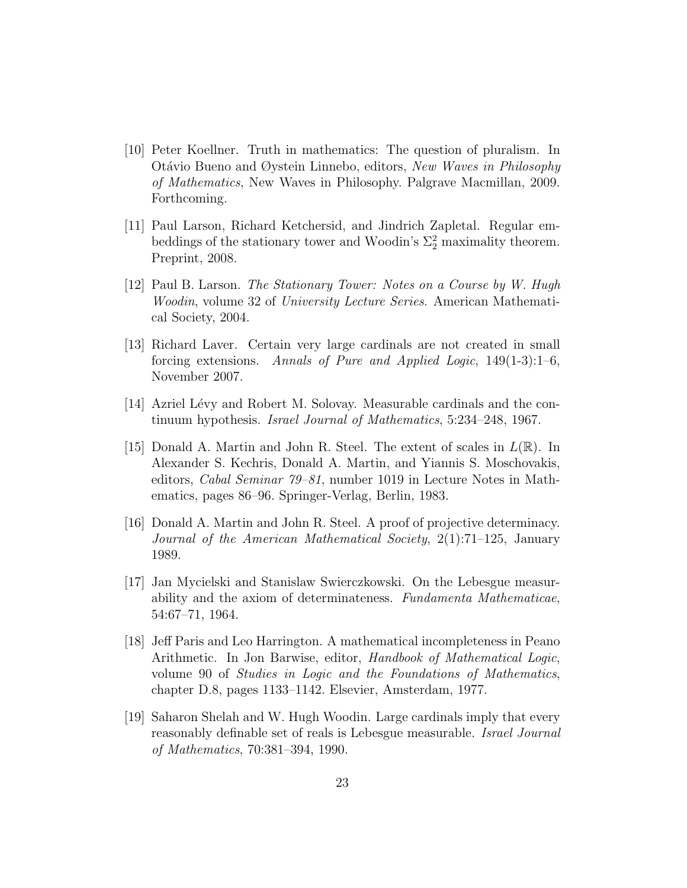- [10] Peter Koellner. Truth in mathematics: The question of pluralism. In Otávio Bueno and Øystein Linnebo, editors, New Waves in Philosophy of Mathematics, New Waves in Philosophy. Palgrave Macmillan, 2009. Forthcoming.
- [11] Paul Larson, Richard Ketchersid, and Jindrich Zapletal. Regular embeddings of the stationary tower and Woodin's  $\Sigma_2^2$  maximality theorem. Preprint, 2008.
- [12] Paul B. Larson. The Stationary Tower: Notes on a Course by W. Hugh Woodin, volume 32 of University Lecture Series. American Mathematical Society, 2004.
- [13] Richard Laver. Certain very large cardinals are not created in small forcing extensions. Annals of Pure and Applied Logic, 149(1-3):1–6, November 2007.
- [14] Azriel Lévy and Robert M. Solovay. Measurable cardinals and the continuum hypothesis. Israel Journal of Mathematics, 5:234–248, 1967.
- [15] Donald A. Martin and John R. Steel. The extent of scales in  $L(\mathbb{R})$ . In Alexander S. Kechris, Donald A. Martin, and Yiannis S. Moschovakis, editors, Cabal Seminar 79–81, number 1019 in Lecture Notes in Mathematics, pages 86–96. Springer-Verlag, Berlin, 1983.
- [16] Donald A. Martin and John R. Steel. A proof of projective determinacy. Journal of the American Mathematical Society, 2(1):71–125, January 1989.
- [17] Jan Mycielski and Stanislaw Swierczkowski. On the Lebesgue measurability and the axiom of determinateness. Fundamenta Mathematicae, 54:67–71, 1964.
- [18] Jeff Paris and Leo Harrington. A mathematical incompleteness in Peano Arithmetic. In Jon Barwise, editor, Handbook of Mathematical Logic, volume 90 of Studies in Logic and the Foundations of Mathematics, chapter D.8, pages 1133–1142. Elsevier, Amsterdam, 1977.
- [19] Saharon Shelah and W. Hugh Woodin. Large cardinals imply that every reasonably definable set of reals is Lebesgue measurable. Israel Journal of Mathematics, 70:381–394, 1990.